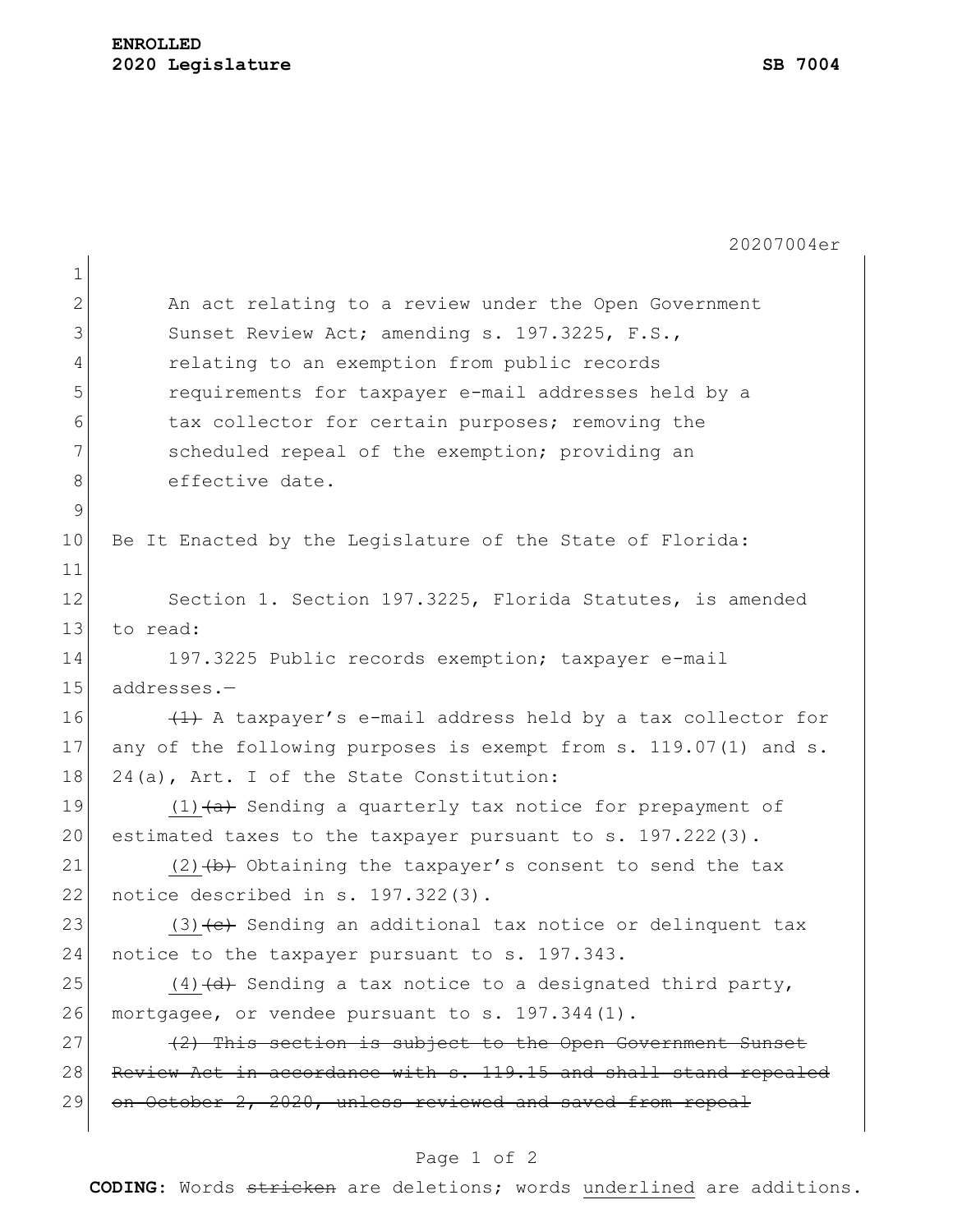| 20207004er                                                             |  |  |  |  |  |  |  |  |  |
|------------------------------------------------------------------------|--|--|--|--|--|--|--|--|--|
|                                                                        |  |  |  |  |  |  |  |  |  |
| An act relating to a review under the Open Government                  |  |  |  |  |  |  |  |  |  |
| 3<br>Sunset Review Act; amending s. 197.3225, F.S.,                    |  |  |  |  |  |  |  |  |  |
| $\overline{4}$<br>relating to an exemption from public records         |  |  |  |  |  |  |  |  |  |
| 5<br>requirements for taxpayer e-mail addresses held by a              |  |  |  |  |  |  |  |  |  |
| tax collector for certain purposes; removing the                       |  |  |  |  |  |  |  |  |  |
| scheduled repeal of the exemption; providing an                        |  |  |  |  |  |  |  |  |  |
| effective date.                                                        |  |  |  |  |  |  |  |  |  |
| $\mathsf 9$                                                            |  |  |  |  |  |  |  |  |  |
| 10<br>Be It Enacted by the Legislature of the State of Florida:        |  |  |  |  |  |  |  |  |  |
| 11                                                                     |  |  |  |  |  |  |  |  |  |
| 12<br>Section 1. Section 197.3225, Florida Statutes, is amended        |  |  |  |  |  |  |  |  |  |
| 13<br>to read:                                                         |  |  |  |  |  |  |  |  |  |
| 14<br>197.3225 Public records exemption; taxpayer e-mail               |  |  |  |  |  |  |  |  |  |
| 15<br>addresses.-                                                      |  |  |  |  |  |  |  |  |  |
| 16<br>(1) A taxpayer's e-mail address held by a tax collector for      |  |  |  |  |  |  |  |  |  |
| 17<br>any of the following purposes is exempt from s. 119.07(1) and s. |  |  |  |  |  |  |  |  |  |
| 18<br>24(a), Art. I of the State Constitution:                         |  |  |  |  |  |  |  |  |  |
| 19<br>$(1)$ $(a)$ Sending a quarterly tax notice for prepayment of     |  |  |  |  |  |  |  |  |  |
| 20<br>estimated taxes to the taxpayer pursuant to s. 197.222(3).       |  |  |  |  |  |  |  |  |  |
| 21<br>$(2)$ $(b)$ Obtaining the taxpayer's consent to send the tax     |  |  |  |  |  |  |  |  |  |
| 22<br>notice described in s. 197.322(3).                               |  |  |  |  |  |  |  |  |  |
| 23<br>(3) (e) Sending an additional tax notice or delinquent tax       |  |  |  |  |  |  |  |  |  |
| 24<br>notice to the taxpayer pursuant to s. 197.343.                   |  |  |  |  |  |  |  |  |  |
| 25<br>$(4)$ $(d)$ Sending a tax notice to a designated third party,    |  |  |  |  |  |  |  |  |  |
| 26<br>mortgagee, or vendee pursuant to s. 197.344(1).                  |  |  |  |  |  |  |  |  |  |
| (2) This section is subject to the Open Government Sunset              |  |  |  |  |  |  |  |  |  |
| 28<br>Review Act in accordance with s. 119.15 and shall stand repealed |  |  |  |  |  |  |  |  |  |
| 29<br>on October 2, 2020, unless reviewed and saved from repeal        |  |  |  |  |  |  |  |  |  |
| 8                                                                      |  |  |  |  |  |  |  |  |  |

## Page 1 of 2

**CODING**: Words stricken are deletions; words underlined are additions.